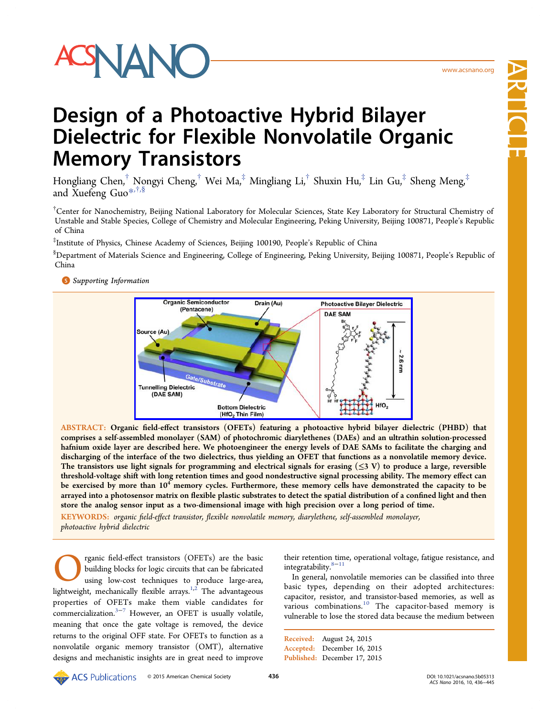Article

# Design of a Photoactive Hybrid Bilayer Dielectric for Flexible Nonvolatile Organic Memory Transistors

Hongliang Chen,† Nongyi Cheng,† Wei Ma,‡ Mingliang Li,† Shuxin Hu,‡ Lin Gu,‡ Sheng Meng,‡ and Xuefeng Guo\*,†,§

<sup>†</sup>Center for Nanoche[mis](#page-8-0)try, Beijing National Laboratory for Molecular Sciences, State Key Laboratory for Structural Chemistry of Unstable and Stable Species, College of Chemistry and Molecular Engineering, Peking University, Beijing 100871, People's Republic of China

‡ Institute of Physics, Chinese Academy of Sciences, Beijing 100190, People's Republic of China

§ Department of Materials Science and Engineering, College of Engineering, Peking University, Beijing 100871, People's Republic of China

# **S** Supporting Information



ABSTRACT: Organic field-eff[ect transistors \(OFETs\) featuring a photoactive hybrid bilayer die](http://pubsdc3.acs.org/action/showImage?doi=10.1021/acsnano.5b05313&iName=master.img-000.jpg&w=312&h=134)lectric (PHBD) that comprises a self-assembled monolayer (SAM) of photochromic diarylethenes (DAEs) and an ultrathin solution-processed hafnium oxide layer are described here. We photoengineer the energy levels of DAE SAMs to facilitate the charging and discharging of the interface of the two dielectrics, thus yielding an OFET that functions as a nonvolatile memory device. The transistors use light signals for programming and electrical signals for erasing  $(\leq 3 \text{ V})$  to produce a large, reversible threshold-voltage shift with long retention times and good nondestructive signal processing ability. The memory effect can be exercised by more than  $10^4$  memory cycles. Furthermore, these memory cells have demonstrated the capacity to be arrayed into a photosensor matrix on flexible plastic substrates to detect the spatial distribution of a confined light and then store the analog sensor input as a two-dimensional image with high precision over a long period of time.

KEYWORDS: organic field-effect transistor, flexible nonvolatile memory, diarylethene, self-assembled monolayer, photoactive hybrid dielectric

rganic field-effect transistors (OFETs) are the basic building blocks for logic circuits that can be fabricated using low-cost techniques to produce large-area, lightweight, mechanically flexible arrays.<sup>1,2</sup> The advantageous properties of OFETs make them viable candidates for commercialization.3−<sup>7</sup> However, an OF[ET](#page-8-0) is usually volatile, meaning that once the gate voltage is removed, the device returns to the ori[ginal](#page-8-0) OFF state. For OFETs to function as a nonvolatile organic memory transistor (OMT), alternative designs and mechanistic insights are in great need to improve their retention time, operational voltage, fatigue resistance, and integratability.8−<sup>11</sup>

In general, nonvolatile memories can be classified into three basic types, [dep](#page-8-0)ending on their adopted architectures: capacitor, resistor, and transistor-based memories, as well as various combinations.<sup>10</sup> The capacitor-based memory is vulnerable to lose the stored data because the medium between

Received: August 24, 2015 Accepted: December 16, 2015 Published: December 17, 2015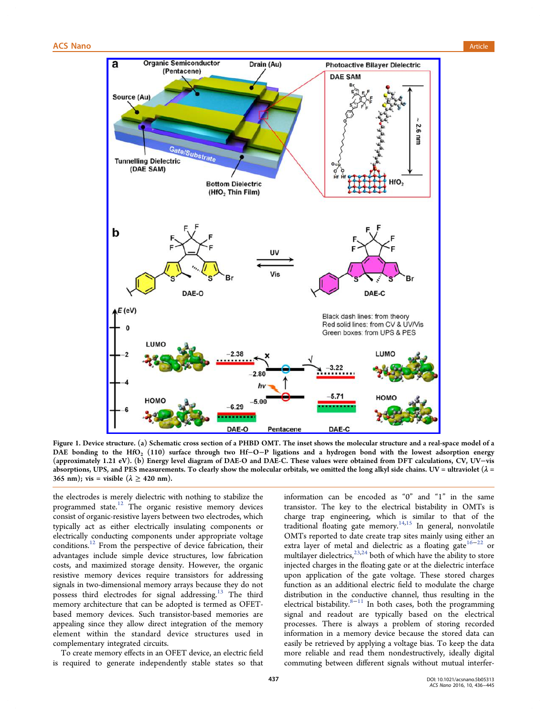<span id="page-1-0"></span>

Figure 1. Device s[tructure. \(a\) Schematic cross section of a PHBD OMT. The inset shows the molecular structure and a rea](http://pubsdc3.acs.org/action/showImage?doi=10.1021/acsnano.5b05313&iName=master.img-001.jpg&w=375&h=424)l-space model of a DAE bonding to the HfO<sub>2</sub> (110) surface through two Hf−O−P ligations and a hydrogen bond with the lowest adsorption energy (approximately 1.21 eV). (b) Energy level diagram of DAE-O and DAE-C. These values were obtained from DFT calculations, CV, UV−vis absorptions, UPS, and PES measurements. To clearly show the molecular orbitals, we omitted the long alkyl side chains. UV = ultraviolet ( $\lambda$  = 365 nm); vis = visible ( $\lambda \ge 420$  nm).

the electrodes is merely dielectric with nothing to stabilize the programmed state. $12$  The organic resistive memory devices consist of organic-resistive layers between two electrodes, which typically act as ei[the](#page-8-0)r electrically insulating components or electrically conducting components under appropriate voltage conditions.<sup>12</sup> From the perspective of device fabrication, their advantages include simple device structures, low fabrication costs, and [m](#page-8-0)aximized storage density. However, the organic resistive memory devices require transistors for addressing signals in two-dimensional memory arrays because they do not possess third electrodes for signal addressing.<sup>13</sup> The third memory architecture that can be adopted is termed as OFETbased memory devices. Such transistor-based [me](#page-8-0)mories are appealing since they allow direct integration of the memory element within the standard device structures used in complementary integrated circuits.

To create memory effects in an OFET device, an electric field is required to generate independently stable states so that information can be encoded as "0" and "1" in the same transistor. The key to the electrical bistability in OMTs is charge trap engineering, which is similar to that of the traditional floating gate memory.<sup>14,15</sup> In general, nonvolatile OMTs reported to date create trap sites mainly using either an extra layer of metal and dielectr[ic as](#page-8-0) a floating gate<sup>16−22</sup> or multilayer dielectrics,  $^{23,24}$  both of which have the ability to store injected charges in the floating gate or at the dielectric [int](#page-8-0)[erf](#page-9-0)ace upon application of [the](#page-9-0) gate voltage. These stored charges function as an additional electric field to modulate the charge distribution in the conductive channel, thus resulting in the electrical bistability. $8-11$  In both cases, both the programming signal and readout are typically based on the electrical processes. There i[s alw](#page-8-0)ays a problem of storing recorded information in a memory device because the stored data can easily be retrieved by applying a voltage bias. To keep the data more reliable and read them nondestructively, ideally digital commuting between different signals without mutual interfer-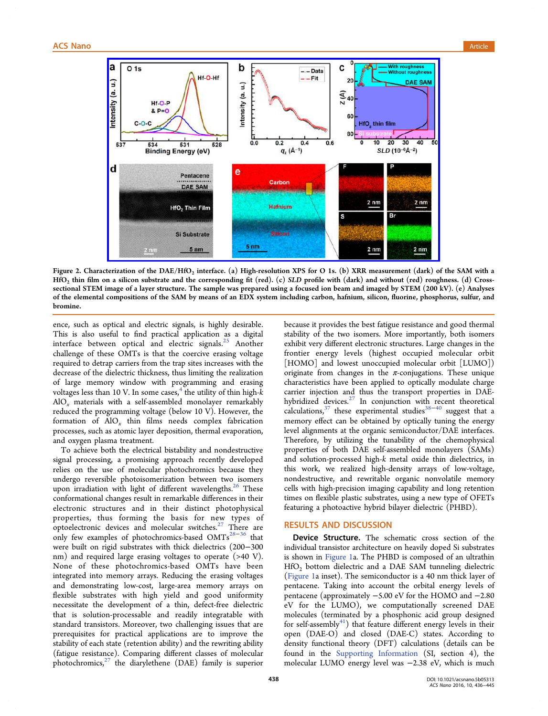<span id="page-2-0"></span>

Figure 2. Characterization of the DAE/HfO<sub>2</sub> [interface. \(a\) High-resolution XPS for O 1s. \(b\) XRR measurement \(dark\) o](http://pubsdc3.acs.org/action/showImage?doi=10.1021/acsnano.5b05313&iName=master.img-002.jpg&w=374&h=227)f the SAM with a HfO2 thin film on a silicon substrate and the corresponding fit (red). (c) SLD profile with (dark) and without (red) roughness. (d) Crosssectional STEM image of a layer structure. The sample was prepared using a focused ion beam and imaged by STEM (200 kV). (e) Analyses of the elemental compositions of the SAM by means of an EDX system including carbon, hafnium, silicon, fluorine, phosphorus, sulfur, and bromine.

ence, such as optical and electric signals, is highly desirable. This is also useful to find practical application as a digital interface between optical and electric signals. $^{25}$  Another challenge of these OMTs is that the coercive erasing voltage required to detrap carriers from the trap sites incre[ase](#page-9-0)s with the decrease of the dielectric thickness, thus limiting the realization of large memory window with programming and erasing voltages less than 10 V. In some cases, $4$  the utility of thin high- $k$  $AIO<sub>x</sub>$  materials with a self-assembled monolayer remarkably reduced the programming voltage (b[elo](#page-8-0)w 10 V). However, the formation of  $AIO_x$  thin films needs complex fabrication processes, such as atomic layer deposition, thermal evaporation, and oxygen plasma treatment.

To achieve both the electrical bistability and nondestructive signal processing, a promising approach recently developed relies on the use of molecular photochromics because they undergo reversible photoisomerization between two isomers upon irradiation with light of different wavelengths.<sup>26</sup> These conformational changes result in remarkable differences in their electronic structures and in their distinct phot[op](#page-9-0)hysical properties, thus forming the basis for new types of optoelectronic devices and molecular switches.<sup>27</sup> There are only few examples of photochromics-based OMTs<sup>28−36</sup> that were built on rigid substrates with thick dielect[rics](#page-9-0) (200−300 nm) and required large erasing voltages to operate [\(>40](#page-9-0) V). None of these photochromics-based OMTs have been integrated into memory arrays. Reducing the erasing voltages and demonstrating low-cost, large-area memory arrays on flexible substrates with high yield and good uniformity necessitate the development of a thin, defect-free dielectric that is solution-processable and readily integratable with standard transistors. Moreover, two challenging issues that are prerequisites for practical applications are to improve the stability of each state (retention ability) and the rewriting ability (fatigue resistance). Comparing different classes of molecular photochromics, $27$  the diarylethene (DAE) family is superior

because it provides the best fatigue resistance and good thermal stability of the two isomers. More importantly, both isomers exhibit very different electronic structures. Large changes in the frontier energy levels (highest occupied molecular orbit [HOMO] and lowest unoccupied molecular orbit [LUMO]) originate from changes in the  $\pi$ -conjugations. These unique characteristics have been applied to optically modulate charge carrier injection and thus the transport properties in DAEhybridized devices. $27$  In conjunction with recent theoretical calculations, $37$  these experimental studies $38-40$  suggest that a memory effect can [be](#page-9-0) obtained by optically tuning the energy level align[men](#page-9-0)ts at the organic semicond[uctor/](#page-9-0)DAE interfaces. Therefore, by utilizing the tunability of the chemophysical properties of both DAE self-assembled monolayers (SAMs) and solution-processed high-k metal oxide thin dielectrics, in this work, we realized high-density arrays of low-voltage, nondestructive, and rewritable organic nonvolatile memory cells with high-precision imaging capability and long retention times on flexible plastic substrates, using a new type of OFETs featuring a photoactive hybrid bilayer dielectric (PHBD).

# RESULTS AND DISCUSSION

Device Structure. The schematic cross section of the individual transistor architecture on heavily doped Si substrates is shown in Figure 1a. The PHBD is composed of an ultrathin HfO2 bottom dielectric and a DAE SAM tunneling dielectric (Figure 1a i[nset\). Th](#page-1-0)e semiconductor is a 40 nm thick layer of pentacene. Taking into account the orbital energy levels of [pentacene](#page-1-0) (approximately −5.00 eV for the HOMO and −2.80 eV for the LUMO), we computationally screened DAE molecules (terminated by a phosphonic acid group designed for self-assembly $41$ ) that feature different energy levels in their open (DAE-O) and closed (DAE-C) states. According to density function[al](#page-9-0) theory (DFT) calculations (details can be found in the Supporting Information (SI, section 4), the molecular LUMO energy level was −2.38 eV, which is much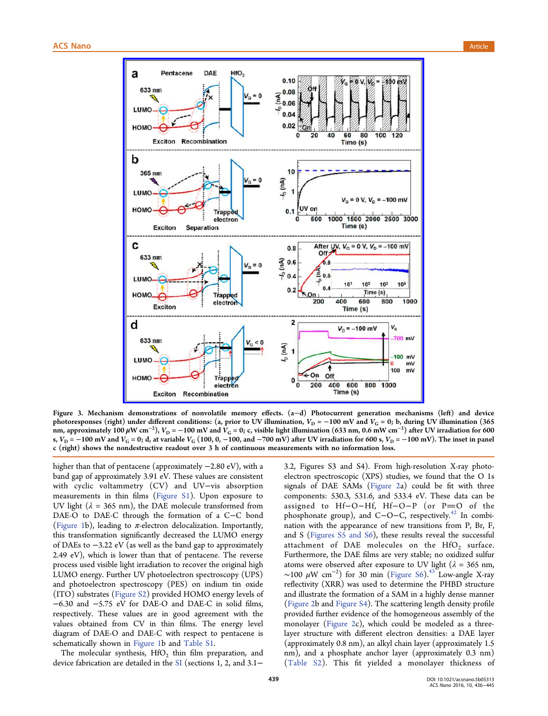<span id="page-3-0"></span>

Figure 3. Mechanism [demonstrations of nonvolatile memory e](http://pubsdc3.acs.org/action/showImage?doi=10.1021/acsnano.5b05313&iName=master.img-003.jpg&w=338&h=389)ffects. (a−d) Photocurrent generation mechanisms (left) and device photoresponses (right) under different conditions: (a, prior to UV illumination,  $V_D = -100$  mV and  $V_G = 0$ ; b, during UV illumination (365) nm, approximately  $100\,\mu{\rm W\,cm^{-2}})$ ,  $V_{\rm D}$  =  $-100$  mV and  $\bar{V}_{\rm G}$  = 0; c, visible light illumination (633 nm, 0.6 mW cm $^{-2})$  after UV irradiation for 600 s,  $V_D = -100$  mV and  $V_G = 0$ ; d, at variable  $V_G$  (100, 0, −100, and −700 mV) after UV irradiation for 600 s,  $V_D = -100$  mV). The inset in panel c (right) shows the nondestructive readout over 3 h of continuous measurements with no information loss.

higher than that of pentacene (approximately −2.80 eV), with a band gap of approximately 3.91 eV. These values are consistent with cyclic voltammetry (CV) and UV−vis absorption measurements in thin films (Figure S1). Upon exposure to UV light ( $\lambda = 365$  nm), the DAE molecule transformed from DAE-O to DAE-C through [the format](http://pubs.acs.org/doi/suppl/10.1021/acsnano.5b05313/suppl_file/nn5b05313_si_001.pdf)ion of a C−C bond (Figure 1b), leading to  $\pi$ -electron delocalization. Importantly, this transformation significantly decreased the LUMO energy [of DAEs t](#page-1-0)o −3.22 eV (as well as the band gap to approximately 2.49 eV), which is lower than that of pentacene. The reverse process used visible light irradiation to recover the original high LUMO energy. Further UV photoelectron spectroscopy (UPS) and photoelectron spectroscopy (PES) on indium tin oxide (ITO) substrates (Figure S2) provided HOMO energy levels of −6.30 and −5.75 eV for DAE-O and DAE-C in solid films, respectively. Thes[e values](http://pubs.acs.org/doi/suppl/10.1021/acsnano.5b05313/suppl_file/nn5b05313_si_001.pdf) are in good agreement with the values obtained from CV in thin films. The energy level diagram of DAE-O and DAE-C with respect to pentacene is schematically shown in Figure 1b and Table S1.

The molecular synthesis,  $HfO<sub>2</sub>$  thin film preparation, and device fabrication are d[etailed in](#page-1-0) the SI [\(sections](http://pubs.acs.org/doi/suppl/10.1021/acsnano.5b05313/suppl_file/nn5b05313_si_001.pdf) 1, 2, and 3.1−

3.2, Figures S3 and S4). From high-resolution X-ray photoelectron spectroscopic (XPS) studies, we found that the O 1s signals of DAE SAMs (Figure 2a) could be fit with three components: 530.3, 531.6, and 533.4 eV. These data can be assigned to Hf-O-[Hf, Hf](#page-2-0)-O-P (or P=O of the phosphonate group), and C−O−C, respectively.<sup>42</sup> In combination with the appearance of new transitions from P, Br, F, and S (Figures S5 and S6), these results reveal t[he](#page-9-0) successful attachment of DAE molecules on the  $HfO<sub>2</sub>$  surface. Further[more, the DAE](http://pubs.acs.org/doi/suppl/10.1021/acsnano.5b05313/suppl_file/nn5b05313_si_001.pdf) films are very stable; no oxidized sulfur atoms were observed after exposure to UV light ( $\lambda = 365$  nm, ~100  $\mu$ W cm<sup>-2</sup>) for 30 min (Figure S6).<sup>43</sup> Low-angle X-ray reflectivity (XRR) was used to determine the PHBD structure and illustrate the formation of a [SAM in a](http://pubs.acs.org/doi/suppl/10.1021/acsnano.5b05313/suppl_file/nn5b05313_si_001.pdf) [hig](#page-9-0)hly dense manner (Figure 2b and Figure S4). The scattering length density profile provided further evidence of the homogeneous assembly of the [monolaye](#page-2-0)r (Fi[gure 2c\),](http://pubs.acs.org/doi/suppl/10.1021/acsnano.5b05313/suppl_file/nn5b05313_si_001.pdf) which could be modeled as a threelayer structure with different electron densities: a DAE layer (approximat[ely 0.8 nm](#page-2-0)), an alkyl chain layer (approximately 1.5 nm), and a phosphate anchor layer (approximately 0.3 nm) (Table S2). This fit yielded a monolayer thickness of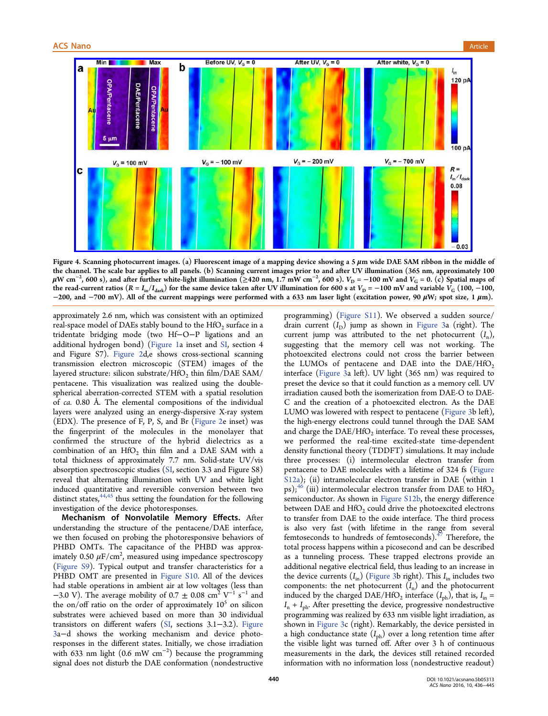<span id="page-4-0"></span>

Figure 4. Scanning photocurrent images. (a) Fluorescent image of a mapping device showing a 5 μm wide DAE SAM ribbon in the middle of the cha[nnel. The scale bar applies to all panels. \(b\) Scanning current images prior to and after UV illumination \(365 nm, approximat](http://pubsdc3.acs.org/action/showImage?doi=10.1021/acsnano.5b05313&iName=master.img-004.jpg&w=449&h=216)ely 100  $\mu$ W cm $^{-2}$ , 600 s), and after further white-light illumination (≥420 nm, 1.7 mW cm $^{-2}$ , 600 s).  $V_D$  = −100 mV and  $V_G$  = 0. (c) Spatial maps of the read-current ratios ( $R = I_{in}/I_{dark}$ ) for the same device taken after UV illumination for 600 s at  $V_{D} = -100$  mV and variable  $V_{G}$  (100, -100, −200, and −700 mV). All of the current mappings were performed with a 633 nm laser light (excitation power, 90  $\mu$ W; spot size, 1  $\mu$ m).

approximately 2.6 nm, which was consistent with an optimized real-space model of DAEs stably bound to the  $HfO<sub>2</sub>$  surface in a tridentate bridging mode (two Hf−O−P ligations and an additional hydrogen bond) (Figure 1a inset and SI, section 4 and Figure S7). Figure 2d,e shows cross-sectional scanning transmission electron micr[oscopic \(](#page-1-0)STEM) i[mag](http://pubs.acs.org/doi/suppl/10.1021/acsnano.5b05313/suppl_file/nn5b05313_si_001.pdf)es of the layered structure: [silicon su](#page-2-0)bstrate/HfO<sub>2</sub> thin film/DAE SAM/ pentacene. This visualization was realized using the doublespherical aberration-corrected STEM with a spatial resolution of ca. 0.80 Å. The elemental compositions of the individual layers were analyzed using an energy-dispersive X-ray system (EDX). The presence of F, P, S, and Br (Figure 2e inset) was the fingerprint of the molecules in the monolayer that confirmed the structure of the hybr[id diele](#page-2-0)ctrics as a combination of an  $HfO<sub>2</sub>$  thin film and a DAE SAM with a total thickness of approximately 7.7 nm. Solid-state UV/vis absorption spectroscopic studies (SI, section 3.3 and Figure S8) reveal that alternating illumination with UV and white light induced quantitative and reversi[ble](http://pubs.acs.org/doi/suppl/10.1021/acsnano.5b05313/suppl_file/nn5b05313_si_001.pdf) conversion between two distinct states,  $44,45$  thus setting the foundation for the following investigation of the device photoresponses.

Mechanis[m o](#page-9-0)f Nonvolatile Memory Effects. After understanding the structure of the pentacene/DAE interface, we then focused on probing the photoresponsive behaviors of PHBD OMTs. The capacitance of the PHBD was approximately 0.50  $\mu$ F/cm<sup>2</sup>, measured using impedance spectroscopy (Figure S9). Typical output and transfer characteristics for a PHBD OMT are presented in Figure S10. All of the devices [had stable](http://pubs.acs.org/doi/suppl/10.1021/acsnano.5b05313/suppl_file/nn5b05313_si_001.pdf) operations in ambient air at low voltages (less than −3.0 V). The average mobility of 0.7  $\pm$  0.08 cm<sup>2</sup> V<sup>-1</sup> s<sup>-1</sup> and the on/[of](http://pubs.acs.org/doi/suppl/10.1021/acsnano.5b05313/suppl_file/nn5b05313_si_001.pdf)f ratio on the order of [approxima](http://pubs.acs.org/doi/suppl/10.1021/acsnano.5b05313/suppl_file/nn5b05313_si_001.pdf)tely  $10<sup>5</sup>$  on silicon substrates were achieved based on more than 30 individual transistors on different wafers (SI, sections 3.1−3.2). Figure 3a−d shows the working mechanism and device photoresponses in the different states. [In](http://pubs.acs.org/doi/suppl/10.1021/acsnano.5b05313/suppl_file/nn5b05313_si_001.pdf)itially, we chose irra[diation](#page-3-0) [w](#page-3-0)ith 633 nm light (0.6 mW  $cm^{-2}$ ) because the programming signal does not disturb the DAE conformation (nondestructive

programming) (Figure S11). We observed a sudden source/ drain current  $(I_D)$  jump as shown in Figure 3a (right). The current jump [was attribute](http://pubs.acs.org/doi/suppl/10.1021/acsnano.5b05313/suppl_file/nn5b05313_si_001.pdf)d to the net photocurrent  $(I_n)$ , suggesting that the memory cell w[as not](#page-3-0) working. The photoexcited electrons could not cross the barrier between the LUMOs of pentacene and DAE into the  $DAE/HfO<sub>2</sub>$ interface (Figure 3a left). UV light (365 nm) was required to preset the device so that it could function as a memory cell. UV irradiation [caused b](#page-3-0)oth the isomerization from DAE-O to DAE-C and the creation of a photoexcited electron. As the DAE LUMO was lowered with respect to pentacene (Figure 3b left), the high-energy electrons could tunnel through the DAE SAM and charge the  $DAE/HfO<sub>2</sub>$  interface. To reveal t[hese pro](#page-3-0)cesses, we performed the real-time excited-state time-dependent density functional theory (TDDFT) simulations. It may include three processes: (i) intermolecular electron transfer from pentacene to DAE molecules with a lifetime of 324 fs (Figure S12a); (ii) intramolecular electron transfer in DAE (within 1 ps);<sup>46</sup> (iii) intermolecular electron transfer from DAE to  $HfO<sub>2</sub>$ [semic](http://pubs.acs.org/doi/suppl/10.1021/acsnano.5b05313/suppl_file/nn5b05313_si_001.pdf)onductor. As shown in Figure S12b, the energy difference bet[we](#page-9-0)en DAE and  $HfO<sub>2</sub>$  could drive the photoexcited electrons to transfer from DAE to the [oxide interfa](http://pubs.acs.org/doi/suppl/10.1021/acsnano.5b05313/suppl_file/nn5b05313_si_001.pdf)ce. The third process is also very fast (with lifetime in the range from several femtoseconds to hundreds of femtoseconds). $4/$  Therefore, the total process happens within a picosecond and can be described as a tunneling process. These trapped elec[tro](#page-9-0)ns provide an additional negative electrical field, thus leading to an increase in the device currents  $(I_{\text{in}})$  (Figure 3b right). This  $I_{\text{in}}$  includes two components: the net photocurrent  $(I_n)$  and the photocurrent induced by the charged [DAE/HfO](#page-3-0)<sub>2</sub> interface  $(I_{ph})$ , that is,  $I_{in}$  =  $I_n + I_{ph}$ . After presetting the device, progressive nondestructive programming was realized by 633 nm visible light irradiation, as shown in Figure 3c (right). Remarkably, the device persisted in a high conductance state  $(I_{ph})$  over a long retention time after the visibl[e light w](#page-3-0)as turned off. After over 3 h of continuous measurements in the dark, the devices still retained recorded information with no information loss (nondestructive readout)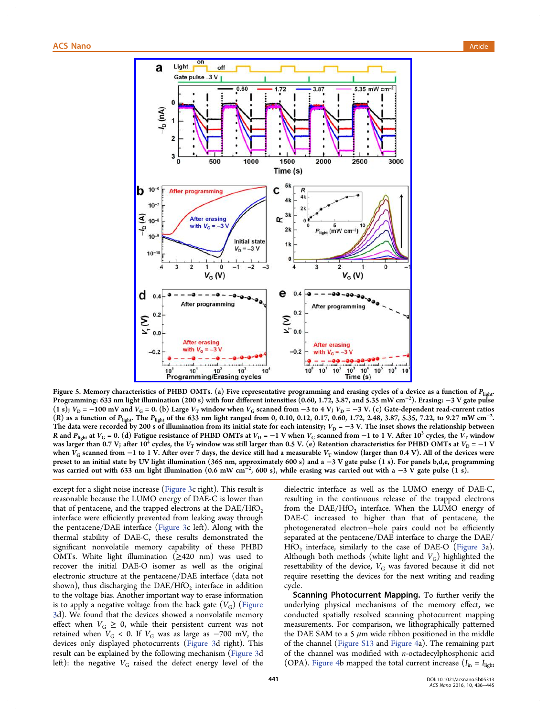<span id="page-5-0"></span>

Figure 5. Memory charact[eristics of PHBD OMTs. \(a\) Five representative programming and erasing cycles of a d](http://pubsdc3.acs.org/action/showImage?doi=10.1021/acsnano.5b05313&iName=master.img-005.jpg&w=311&h=365)evice as a function of  $P_{\text{light}}$ . Programming: 633 nm light illumination (200 s) with four different intensities (0.60, 1.72, 3.87, and 5.35 mW cm<sup>−</sup><sup>2</sup> ). Erasing: −3 V gate pulse (1 s);  $V_D$  = −100 mV and  $V_G$  = 0. (b) Large  $V_T$  window when  $V_G$  scanned from −3 to 4 V;  $V_D$  = −3 V. (c) Gate-dependent read-current ratios (R) as a function of  $P_{\text{light}}$ . The  $P_{\text{light}}$  of the 633 nm light ranged from 0, 0.10, 0.12, 0.17, 0.60, 1.72, 2.48, 3.87, 5.35, 7.22, to 9.27 mW cm<sup>-2</sup>. The data were recorded by 200 s of illumination from its initial state for each intensity;  $V_D = -3$  V. The inset shows the relationship between R and  $P_{\text{light}}$  at  $V_G = 0$ . (d) Fatigue resistance of PHBD OMTs at  $V_D = -1$  V when  $V_G$  scanned from  $-1$  to 1 V. After 10<sup>3</sup> cycles, the  $V_T$  window was larger than 0.7 V; after 10<sup>4</sup> cycles, the V<sub>T</sub> window was still larger than 0.5 V. (e) Retention characteristics for PHBD OMTs at V<sub>D</sub> = −1 V when  $V_G$  scanned from −1 to 1 V. After over 7 days, the device still had a measurable  $V_T$  window (larger than 0.4 V). All of the devices were preset to an initial state by UV light illumination (365 nm, approximately 600 s) and a −3 V gate pulse (1 s). For panels b,d,e, programming was carried out with 633 nm light illumination (0.6 mW cm<sup>−2</sup>, 600 s), while erasing was carried out with a −3 V gate pulse (1 s).

except for a slight noise increase (Figure 3c right). This result is reasonable because the LUMO energy of DAE-C is lower than that of pentacene, and the trappe[d electro](#page-3-0)ns at the  $DAE/HfO<sub>2</sub>$ interface were efficiently prevented from leaking away through the pentacene/DAE interface (Figure 3c left). Along with the thermal stability of DAE-C, these results demonstrated the significant nonvolatile memo[ry capab](#page-3-0)ility of these PHBD OMTs. White light illumination ( $\geq$ 420 nm) was used to recover the initial DAE-O isomer as well as the original electronic structure at the pentacene/DAE interface (data not shown), thus discharging the  $DAE/HfO<sub>2</sub>$  interface in addition to the voltage bias. Another important way to erase information is to apply a negative voltage from the back gate  $(V_G)$  (Figure 3d). We found that the devices showed a nonvolatile memory effect when  $V_G \geq 0$ , while their persistent current w[as not](#page-3-0) [re](#page-3-0)tained when  $V_G$  < 0. If  $V_G$  was as large as −700 mV, the devices only displayed photocurrents (Figure 3d right). This result can be explained by the following mechanism (Figure 3d left): the negative  $V_G$  raised the defe[ct energy](#page-3-0) level of the dielectric interface as well as the LUMO energy of DAE-C, resulting in the continuous release of the trapped electrons from the  $DAE/HfO<sub>2</sub>$  interface. When the LUMO energy of DAE-C increased to higher than that of pentacene, the photogenerated electron−hole pairs could not be efficiently separated at the pentacene/DAE interface to charge the DAE/  $HfO<sub>2</sub>$  interface, similarly to the case of DAE-O (Figure 3a). Although both methods (white light and  $V_G$ ) highlighted the resettability of the device,  $V_G$  was favored becaus[e it did n](#page-3-0)ot require resetting the devices for the next writing and reading cycle.

Scanning Photocurrent Mapping. To further verify the underlying physical mechanisms of the memory effect, we conducted spatially resolved scanning photocurrent mapping measurements. For comparison, we lithographically patterned the DAE SAM to a 5  $\mu$ m wide ribbon positioned in the middle of the channel (Figure S13 and Figure 4a). The remaining part of the channel was modified with n-octadecylphosphonic acid (OPA). Figure [4b mapped](http://pubs.acs.org/doi/suppl/10.1021/acsnano.5b05313/suppl_file/nn5b05313_si_001.pdf) the [total curr](#page-4-0)ent increase ( $I_{\text{in}} = I_{\text{light}}$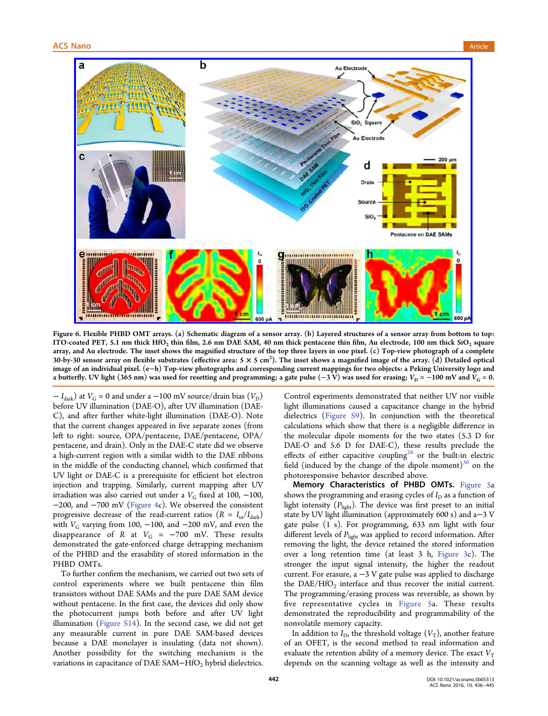<span id="page-6-0"></span>

Figure [6. Flexible PHBD OMT arrays. \(a\) Schematic diagram of a sensor array. \(b\) Layered structures of a sensor array from bottom](http://pubsdc3.acs.org/action/showImage?doi=10.1021/acsnano.5b05313&iName=master.img-006.jpg&w=449&h=298) to top: ITO-coated PET, 5.1 nm thick  $HfO<sub>2</sub>$  thin film, 2.6 nm DAE SAM, 40 nm thick pentacene thin film, Au electrode, 100 nm thick SiO<sub>2</sub> square array, and Au electrode. The inset shows the magnified structure of the top three layers in one pixel. (c) Top-view photograph of a complete 30-by-30 sensor array on flexible substrates (effective area: 5  $\times$  5 cm<sup>2</sup>). The inset shows a magnified image of the array. (d) Detailed optical image of an individual pixel. (e−h) Top-view photographs and corresponding current mappings for two objects: a Peking University logo and a butterfly. UV light (365 nm) was used for resetting and programming; a gate pulse (−3 V) was used for erasing;  $V_D = -100$  mV and  $V_G = 0$ .

 $-I<sub>dark</sub>$ ) at  $V<sub>G</sub>$  = 0 and under a −100 mV source/drain bias ( $V<sub>D</sub>$ ) before UV illumination (DAE-O), after UV illumination (DAE-C), and after further white-light illumination (DAE-O). Note that the current changes appeared in five separate zones (from left to right: source, OPA/pentacene, DAE/pentacene, OPA/ pentacene, and drain). Only in the DAE-C state did we observe a high-current region with a similar width to the DAE ribbons in the middle of the conducting channel, which confirmed that UV light or DAE-C is a prerequisite for efficient hot electron injection and trapping. Similarly, current mapping after UV irradiation was also carried out under a  $V_G$  fixed at 100, -100, −200, and −700 mV (Figure 4c). We observed the consistent progressive decrease of the read-current ratios  $(R = I_{in}/I_{dark})$ with  $V_G$  varying from [100,](#page-4-0) -100, and -200 mV, and even the disappearance of R at  $V_G = -700$  mV. These results demonstrated the gate-enforced charge detrapping mechanism of the PHBD and the erasability of stored information in the PHBD OMTs.

To further confirm the mechanism, we carried out two sets of control experiments where we built pentacene thin film transistors without DAE SAMs and the pure DAE SAM device without pentacene. In the first case, the devices did only show the photocurrent jumps both before and after UV light illumination (Figure S14). In the second case, we did not get any measurable current in pure DAE SAM-based devices because a D[AE monola](http://pubs.acs.org/doi/suppl/10.1021/acsnano.5b05313/suppl_file/nn5b05313_si_001.pdf)yer is insulating (data not shown). Another possibility for the switching mechanism is the variations in capacitance of DAE SAM–HfO<sub>2</sub> hybrid dielectrics.

Control experiments demonstrated that neither UV nor visible light illuminations caused a capacitance change in the hybrid dielectrics (Figure S9). In conjunction with the theoretical calculations which show that there is a negligible difference in the molecul[ar dipole m](http://pubs.acs.org/doi/suppl/10.1021/acsnano.5b05313/suppl_file/nn5b05313_si_001.pdf)oments for the two states (5.3 D for DAE-O and 5.6 D for DAE-C), these results preclude the effects of either capacitive coupling<sup>28</sup> or the built-in electric field (induced by the change of the dipole moment) $30$  on the photoresponsive behavior described [ab](#page-9-0)ove.

Memory Characteristics of PHBD OMTs. [Fig](#page-9-0)ure 5a shows the programming and erasing cycles of  $I_D$  as a function of light intensity  $(P_{\text{light}})$ . The device was first preset t[o an initia](#page-5-0)l state by UV light illumination (approximately 600 s) and a−3 V gate pulse (1 s). For programming, 633 nm light with four different levels of  $P_{\text{light}}$  was applied to record information. After removing the light, the device retained the stored information over a long retention time (at least 3 h, Figure 3c). The stronger the input signal intensity, the higher the readout current. For erasure, a  $-3$  V gate pulse was ap[plied to d](#page-3-0)ischarge the  $DAE/HfO<sub>2</sub>$  interface and thus recover the initial current. The programming/erasing process was reversible, as shown by five representative cycles in Figure 5a. These results demonstrated the reproducibility and programmability of the nonvolatile memory capacity.

In addition to  $I_D$ , the threshold [voltage](#page-5-0)  $(V_T)$  $(V_T)$ , another feature of an OFET, is the second method to read information and evaluate the retention ability of a memory device. The exact  $V<sub>T</sub>$ depends on the scanning voltage as well as the intensity and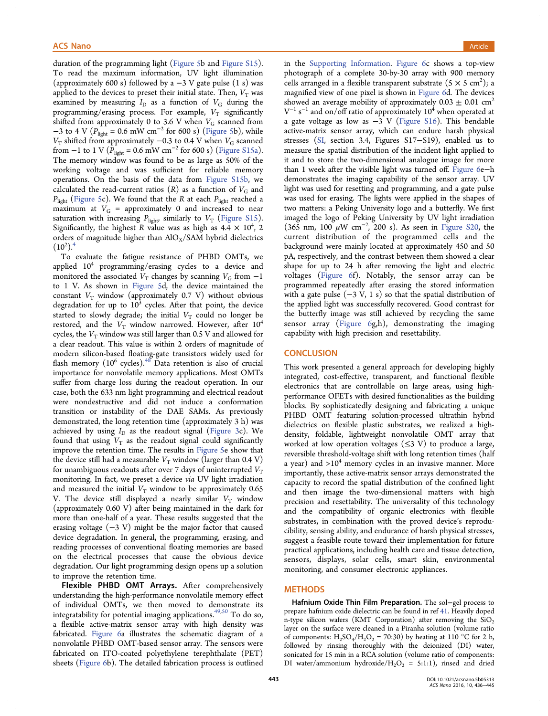duration of the programming light (Figure 5b and Figure S15). To read the maximum information, UV light illumination (approximately 600 s) followed by a  $-3$  V gate pu[lse \(1 s\) wa](http://pubs.acs.org/doi/suppl/10.1021/acsnano.5b05313/suppl_file/nn5b05313_si_001.pdf)s applied to the devices to p[r](#page-5-0)eset their [initial](#page-5-0) [s](#page-5-0)tate. Then,  $V<sub>T</sub>$  was examined by measuring  $I_D$  as a function of  $V_G$  during the programming/erasing process. For example,  $V_T$  significantly shifted from approximately 0 to 3.6 V when  $V_G$  scanned from −3 to 4 V ( $P_{light}$  = 0.6 mW cm<sup>-2</sup> for 600 s) (Figure 5b), while  $V<sub>T</sub>$  shifted from approximately −0.3 to 0.4 V when  $V<sub>G</sub>$  scanned from −1 to 1 V ( $P_{light}$  = 0.6 mW cm<sup>-2</sup> for 600 [s\) \(Figur](#page-5-0)e S15a). The memory window was found to be as large as 50% of the working voltage and was sufficient for relia[ble memor](http://pubs.acs.org/doi/suppl/10.1021/acsnano.5b05313/suppl_file/nn5b05313_si_001.pdf)y operations. On the basis of the data from Figure S15b, we calculated the read-current ratios  $(R)$  as a function of  $V_G$  and  $P_{\text{light}}$  (Figure 5c). We found that the R at each  $P_{\text{light}}$  reached a maximum at  $V_G$  = approximately 0 and i[ncreased](http://pubs.acs.org/doi/suppl/10.1021/acsnano.5b05313/suppl_file/nn5b05313_si_001.pdf) [to](http://pubs.acs.org/doi/suppl/10.1021/acsnano.5b05313/suppl_file/nn5b05313_si_001.pdf) near satura[tion with](#page-5-0) increasing  $P_{\text{light}}$  similarly to  $V_T$  (Figure S15). Significantly, the highest R value was as high as  $4.4 \times 10^4$ , 2 orders of magnitude higher than  $AIO_X/SAM$  hyb[rid dielectric](http://pubs.acs.org/doi/suppl/10.1021/acsnano.5b05313/suppl_file/nn5b05313_si_001.pdf)s  $(10^2).$ <sup>4</sup>

To evaluate the fatigue resistance of PHBD OMTs, we applie[d](#page-8-0)  $10^4$  programming/erasing cycles to a device and monitored the associated  $V_T$  changes by scanning  $V_G$  from  $-1$ to 1 V. As shown in Figure 5d, the device maintained the constant  $V_T$  window (approximately 0.7 V) without obvious degradation for up to  $10<sup>3</sup>$  cycles. After that point, the device started to slowly degr[ade;](#page-5-0) [the](#page-5-0) [i](#page-5-0)nitial  $V_T$  could no longer be restored, and the  $V<sub>T</sub>$  window narrowed. However, after  $10<sup>4</sup>$ cycles, the  $V<sub>T</sub>$  window was still larger than 0.5 V and allowed for a clear readout. This value is within 2 orders of magnitude of modern silicon-based floating-gate transistors widely used for flash memory  $(10^6 \text{ cycles})$ .<sup>48</sup> Data retention is also of crucial importance for nonvolatile memory applications. Most OMTs suffer from charge loss du[rin](#page-9-0)g the readout operation. In our case, both the 633 nm light programming and electrical readout were nondestructive and did not induce a conformation transition or instability of the DAE SAMs. As previously demonstrated, the long retention time (approximately 3 h) was achieved by using  $I_D$  as the readout signal (Figure 3c). We found that using  $V_T$  as the readout signal could significantly improve the retention time. The results in Fig[ure 5e sho](#page-3-0)w that the device still had a measurable  $V<sub>T</sub>$  window (larger than 0.4 V) for unambiguous readouts after over 7 days [of uninte](#page-5-0)rrupted  $V<sub>T</sub>$ monitoring. In fact, we preset a device via UV light irradiation and measured the initial  $V<sub>T</sub>$  window to be approximately 0.65 V. The device still displayed a nearly similar  $V<sub>T</sub>$  window (approximately 0.60 V) after being maintained in the dark for more than one-half of a year. These results suggested that the erasing voltage  $(-3 \text{ V})$  might be the major factor that caused device degradation. In general, the programming, erasing, and reading processes of conventional floating memories are based on the electrical processes that cause the obvious device degradation. Our light programming design opens up a solution to improve the retention time.

Flexible PHBD OMT Arrays. After comprehensively understanding the high-performance nonvolatile memory effect of individual OMTs, we then moved to demonstrate its integratability for potential imaging applications.<sup>49,50</sup> To do so, a flexible active-matrix sensor array with high density was fabricated. Figure 6a illustrates the schematic [diag](#page-9-0)ram of a nonvolatile PHBD OMT-based sensor array. The sensors were fabricated [on ITO-c](#page-6-0)oated polyethylene terephthalate (PET) sheets (Figure 6b). The detailed fabrication process is outlined in the Supporting Information. Figure 6c shows a top-view photograph of a complete 30-by-30 array with 900 memory cells arranged in a flexible transp[arent subs](#page-6-0)trate  $(5 \times 5 \text{ cm}^2)$ ; a magnifi[ed](http://pubs.acs.org/doi/suppl/10.1021/acsnano.5b05313/suppl_file/nn5b05313_si_001.pdf) [view](http://pubs.acs.org/doi/suppl/10.1021/acsnano.5b05313/suppl_file/nn5b05313_si_001.pdf) [of](http://pubs.acs.org/doi/suppl/10.1021/acsnano.5b05313/suppl_file/nn5b05313_si_001.pdf) [one](http://pubs.acs.org/doi/suppl/10.1021/acsnano.5b05313/suppl_file/nn5b05313_si_001.pdf) [pixel](http://pubs.acs.org/doi/suppl/10.1021/acsnano.5b05313/suppl_file/nn5b05313_si_001.pdf) [is](http://pubs.acs.org/doi/suppl/10.1021/acsnano.5b05313/suppl_file/nn5b05313_si_001.pdf) [sh](http://pubs.acs.org/doi/suppl/10.1021/acsnano.5b05313/suppl_file/nn5b05313_si_001.pdf)own in Figure 6d. The devices showed an average mobility of approximately  $0.03 \pm 0.01$  cm<sup>2</sup>  $V^{-1}$  s<sup>-1</sup> and on/off ratio of approximately 10<sup>4</sup> when operated at a gat[e](#page-6-0) voltage as low as  $-3$  V (Figure [S16\).](#page-6-0) [T](#page-6-0)his bendable active-matrix sensor array, which can endure harsh physical stresses (SI, section 3.4, Figures S17−S19), enabled us to measure the spatial distribution of [the](http://pubs.acs.org/doi/suppl/10.1021/acsnano.5b05313/suppl_file/nn5b05313_si_001.pdf) [inciden](http://pubs.acs.org/doi/suppl/10.1021/acsnano.5b05313/suppl_file/nn5b05313_si_001.pdf)t light applied to it and to [sto](http://pubs.acs.org/doi/suppl/10.1021/acsnano.5b05313/suppl_file/nn5b05313_si_001.pdf)re the two-dimensional analogue image for more than 1 week after the visible light was turned off. Figure 6e−h demonstrates the imaging capability of the sensor array. UV light was used for resetting and programming, and [a gate p](#page-6-0)ulse was used for erasing. The lights were applied in the shapes of two matters: a Peking University logo and a butterfly. We first imaged the logo of Peking University by UV light irradiation (365 nm, 100  $\mu$ W cm<sup>-2</sup>, 200 s). As seen in Figure S20, the current distribution of the programmed cells and the background were mainly located at approxima[tely 450 an](http://pubs.acs.org/doi/suppl/10.1021/acsnano.5b05313/suppl_file/nn5b05313_si_001.pdf)d 50 pA, respectively, and the contrast between them showed a clear shape for up to 24 h after removing the light and electric voltages (Figure 6f). Notably, the sensor array can be programmed repeatedly after erasing the stored information with a gate pulse  $(-3 \text{ V}, 1 \text{ s})$  so that the spatial distribution of the applied light was successfully recovered. Good contrast for the butterfly image was still achieved by recycling the same sensor array (Figure 6g,h), demonstrating the imaging capability with high precision and resettability.

## **CONCLUSION**

This work presented a general approach for developing highly integrated, cost-effective, transparent, and functional flexible electronics that are controllable on large areas, using highperformance OFETs with desired functionalities as the building blocks. By sophisticatedly designing and fabricating a unique PHBD OMT featuring solution-processed ultrathin hybrid dielectrics on flexible plastic substrates, we realized a highdensity, foldable, lightweight nonvolatile OMT array that worked at low operation voltages  $(\leq 3 \text{ V})$  to produce a large, reversible threshold-voltage shift with long retention times (half a year) and  $>10<sup>4</sup>$  memory cycles in an invasive manner. More importantly, these active-matrix sensor arrays demonstrated the capacity to record the spatial distribution of the confined light and then image the two-dimensional matters with high precision and resettability. The universality of this technology and the compatibility of organic electronics with flexible substrates, in combination with the proved device's reproducibility, sensing ability, and endurance of harsh physical stresses, suggest a feasible route toward their implementation for future practical applications, including health care and tissue detection, sensors, displays, solar cells, smart skin, environmental monitoring, and consumer electronic appliances.

# **METHODS**

Hafnium Oxide Thin Film Preparation. The sol−gel process to prepare hafnium oxide dielectric can be found in ref 41. Heavily doped n-type silicon wafers (KMT Corporation) after removing the  $SiO<sub>2</sub>$ layer on the surface were cleaned in a Piranha solution (volume ratio of components:  $H_2SO_4/H_2O_2 = 70:30$ ) by heating [at](#page-9-0) 110 °C for 2 h, followed by rinsing thoroughly with the deionized (DI) water, sonicated for 15 min in a RCA solution (volume ratio of components: DI water/ammonium hydroxide/ $H_2O_2 = 5:1:1$ ), rinsed and dried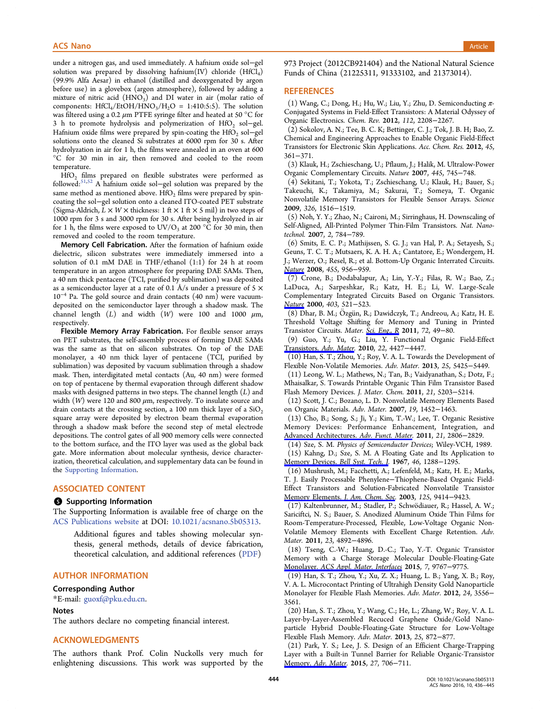<span id="page-8-0"></span>under a nitrogen gas, and used immediately. A hafnium oxide sol−gel solution was prepared by dissolving hafnium $(IV)$  chloride  $(HfCl<sub>4</sub>)$ (99.9% Alfa Aesar) in ethanol (distilled and deoxygenated by argon before use) in a glovebox (argon atmosphere), followed by adding a mixture of nitric acid  $(HNO<sub>3</sub>)$  and DI water in air (molar ratio of components:  $HfCl_4/EtOH/HNO_3/H_2O = 1:410:5:5$ ). The solution was filtered using a 0.2  $\mu$ m PTFE syringe filter and heated at 50 °C for 3 h to promote hydrolysis and polymerization of HfO<sub>2</sub> sol−gel. Hafnium oxide films were prepared by spin-coating the HfO<sub>2</sub> sol−gel solutions onto the cleaned Si substrates at 6000 rpm for 30 s. After hydrolyzation in air for 1 h, the films were annealed in an oven at 600 °C for 30 min in air, then removed and cooled to the room temperature.

 $HfO<sub>2</sub>$  films prepared on flexible substrates were performed as followed:51,52 A hafnium oxide sol−gel solution was prepared by the same method as mentioned above. HfO<sub>2</sub> films were prepared by spincoating t[he so](#page-9-0)l−gel solution onto a cleaned ITO-coated PET substrate (Sigma-Aldrich,  $L \times W \times$  thickness: 1 ft  $\times$  1 ft  $\times$  5 mil) in two steps of 1000 rpm for 3 s and 3000 rpm for 30 s. After being hydrolyzed in air for 1 h, the films were exposed to  $UV/O_3$  at 200 °C for 30 min, then removed and cooled to the room temperature.

Memory Cell Fabrication. After the formation of hafnium oxide dielectric, silicon substrates were immediately immersed into a solution of 0.1 mM DAE in THF/ethanol (1:1) for 24 h at room temperature in an argon atmosphere for preparing DAE SAMs. Then, a 40 nm thick pentacene (TCI, purified by sublimation) was deposited as a semiconductor layer at a rate of 0.1 Å/s under a pressure of 5  $\times$ 10<sup>−</sup><sup>4</sup> Pa. The gold source and drain contacts (40 nm) were vacuumdeposited on the semiconductor layer through a shadow mask. The channel length  $(L)$  and width  $(W)$  were 100 and 1000  $\mu$ m, respectively.

Flexible Memory Array Fabrication. For flexible sensor arrays on PET substrates, the self-assembly process of forming DAE SAMs was the same as that on silicon substrates. On top of the DAE monolayer, a 40 nm thick layer of pentacene (TCI, purified by sublimation) was deposited by vacuum sublimation through a shadow mask. Then, interdigitated metal contacts (Au, 40 nm) were formed on top of pentacene by thermal evaporation through different shadow masks with designed patterns in two steps. The channel length  $(L)$  and width  $(W)$  were 120 and 800  $\mu$ m, respectively. To insulate source and drain contacts at the crossing section, a 100 nm thick layer of a  $SiO<sub>2</sub>$ square array were deposited by electron beam thermal evaporation through a shadow mask before the second step of metal electrode depositions. The control gates of all 900 memory cells were connected to the bottom surface, and the ITO layer was used as the global back gate. More information about molecular synthesis, device characterization, theoretical calculation, and supplementary data can be found in the Supporting Information.

# AS[SOCIATED CONTEN](http://pubs.acs.org/doi/suppl/10.1021/acsnano.5b05313/suppl_file/nn5b05313_si_001.pdf)T

#### **S** Supporting Information

The Supporting Information is available free of charge on the ACS Publications website at DOI: 10.1021/acsnano.5b05313.

Additional figures and tables showing molecular syn[thesis, general met](http://pubs.acs.org)hods, de[tails of device fabrication](http://pubs.acs.org/doi/abs/10.1021/acsnano.5b05313), theoretical calculation, and additional references (PDF)

# AUTHOR INFORMATION

### Corresponding Author

\*E-mail: guoxf@pku.edu.cn.

#### Notes

The auth[ors declare no com](mailto:guoxf@pku.edu.cn)peting financial interest.

## ACKNOWLEDGMENTS

The authors thank Prof. Colin Nuckolls very much for enlightening discussions. This work was supported by the 973 Project (2012CB921404) and the National Natural Science Funds of China (21225311, 91333102, and 21373014).

## **REFERENCES**

(1) Wang, C.; Dong, H.; Hu, W.; Liu, Y.; Zhu, D. Semiconducting π-Conjugated Systems in Field-Effect Transistors: A Material Odyssey of Organic Electronics. Chem. Rev. 2012, 112, 2208−2267.

(2) Sokolov, A. N.; Tee, B. C. K; Bettinger, C. J.; Tok, J. B. H; Bao, Z. Chemical and Engineering Approaches to Enable Organic Field-Effect Transistors for Electronic Skin Applications. Acc. Chem. Res. 2012, 45, 361−371.

(3) Klauk, H.; Zschieschang, U.; Pflaum, J.; Halik, M. Ultralow-Power Organic Complementary Circuits. Nature 2007, 445, 745−748.

(4) Sekitani, T.; Yokota, T.; Zschieschang, U.; Klauk, H.; Bauer, S.; Takeuchi, K.; Takamiya, M.; Sakurai, T.; Someya, T. Organic Nonvolatile Memory Transistors for Flexible Sensor Arrays. Science 2009, 326, 1516−1519.

(5) Noh, Y. Y.; Zhao, N.; Caironi, M.; Sirringhaus, H. Downscaling of Self-Aligned, All-Printed Polymer Thin-Film Transistors. Nat. Nanotechnol. 2007, 2, 784−789.

(6) Smits, E. C. P.; Mathijssen, S. G. J.; van Hal, P. A.; Setayesh, S.; Geuns, T. C. T.; Mutsaers, K. A. H. A.; Cantatore, E.; Wondergem, H. J.; Werzer, O.; Resel, R.; et al. Bottom-Up Organic Interrated Circuits. Nature 2008, 455, 956−959.

(7) Crone, B.; Dodabalapur, A.; Lin, Y.-Y.; Filas, R. W.; Bao, Z.; LaDuca, A.; Sarpeshkar, R.; Katz, H. E.; Li, W. Large-Scale [Compl](http://pubs.acs.org/action/showLinks?crossref=10.1038%2Fnature07320&coi=1%3ACAS%3A528%3ADC%252BD1cXht1GgurzO)ementary Integrated Circuits Based on Organic Transistors. Nature 2000, 403, 521−523.

(8) Dhar, B. M.; Ö zgü n, R.; Dawidczyk, T.; Andreou, A.; Katz, H. E. Threshold Voltage Shifting for Memory and Tuning in Printed [Transis](http://pubs.acs.org/action/showLinks?pmid=10676955&crossref=10.1038%2F35000530&coi=1%3ACAS%3A528%3ADC%252BD3cXht1ShtL0%253D)tor Circuits. Mater. Sci. Eng., R 2011, 72, 49−80.

(9) Guo, Y.; Yu, G.; Liu, Y. Functional Organic Field-Effect Transistors. Adv. Mater. 2010, 22, 4427−4447.

(10) Han, S. T.; Zhou, Y.; [Roy,](http://pubs.acs.org/action/showLinks?crossref=10.1016%2Fj.mser.2010.11.001) [V.](http://pubs.acs.org/action/showLinks?crossref=10.1016%2Fj.mser.2010.11.001) [A.](http://pubs.acs.org/action/showLinks?crossref=10.1016%2Fj.mser.2010.11.001) [L](http://pubs.acs.org/action/showLinks?crossref=10.1016%2Fj.mser.2010.11.001). Towards the Development of [Flexible Non-Volatile M](http://pubs.acs.org/action/showLinks?pmid=20853375&crossref=10.1002%2Fadma.201000740&coi=1%3ACAS%3A528%3ADC%252BC3cXhtlalu73K)emories. Adv. Mater. 2013, 25, 5425−5449.

(11) Leong, W. L.; Mathews, N.; Tan, B.; Vaidyanathan, S.; Dotz, F.; Mhaisalkar, S. Towards Printable Organic Thin Film Transistor Based Flash Memory Devices. J. Mater. Chem. 2011, 21, 5203−5214.

(12) Scott, J. C.; Bozano, L. D. Nonvolatile Memory Elements Based on Organic Materials. Adv. Mater. 2007, 19, 1452−1463.

(13) Cho, B.; Song, S.; Ji, Y.; Kim, T.-W.; Lee, T. Organic Resistive Memory Devices: Performance Enhancement, Integration, and Advanced Architectures. Adv. Funct. Mater. 2011, 21, 2806−2829.

(14) Sze, S. M. Physics of Semiconductor Devices; Wiley-VCH, 1989.

[\(15\) Kahng, D.; Sze, S. M. A Floating G](http://pubs.acs.org/action/showLinks?crossref=10.1002%2Fadfm.201100686&coi=1%3ACAS%3A528%3ADC%252BC3MXosFegtLw%253D)ate and Its Application to Memory Devices. Bell Syst. Tech. J. 1967, 46, 1288−1295.

(16) Mushrush, M.; Facchetti, A.; Lefenfeld, M.; Katz, H. E.; Marks, T. J. Easily Processable Phenylene−Thiophene-Based Organic Field-[Effect](http://pubs.acs.org/action/showLinks?crossref=10.1002%2Fj.1538-7305.1967.tb01738.x) [Transistors](http://pubs.acs.org/action/showLinks?crossref=10.1002%2Fj.1538-7305.1967.tb01738.x) [and](http://pubs.acs.org/action/showLinks?crossref=10.1002%2Fj.1538-7305.1967.tb01738.x) [Solution-F](http://pubs.acs.org/action/showLinks?crossref=10.1002%2Fj.1538-7305.1967.tb01738.x)abricated Nonvolatile Transistor Memory Elements. J. Am. Chem. Soc. 2003, 125, 9414−9423.

(17) Kaltenbrunner, M.; Stadler, P.; Schwö diauer, R.; Hassel, A. W.; Sariciftci, N. S.; Bauer, S. Anodized Aluminum Oxide Thin Films for [Room-Temperature-Processed,](http://pubs.acs.org/action/showLinks?system=10.1021%2Fja035143a) [Flexi](http://pubs.acs.org/action/showLinks?system=10.1021%2Fja035143a)ble, Low-Voltage Organic Non-Volatile Memory Elements with Excellent Charge Retention. Adv. Mater. 2011, 23, 4892−4896.

(18) Tseng, C.-W.; Huang, D.-C.; Tao, Y.-T. Organic Transistor Memory with a Charge Storage Molecular Double-Floating-Gate Monolayer. ACS Appl. Mater. Interfaces 2015, 7, 9767−9775.

(19) Han, S. T.; Zhou, Y.; Xu, Z. X.; Huang, L. B.; Yang, X. B.; Roy, V. A. L. Microcontact Printing of Ultrahigh Density Gold Nanoparticle [Monolayer](http://pubs.acs.org/action/showLinks?system=10.1021%2Facsami.5b01625&pmid=25875747&coi=1%3ACAS%3A528%3ADC%252BC2MXmsFagsLc%253D) [for](http://pubs.acs.org/action/showLinks?system=10.1021%2Facsami.5b01625&pmid=25875747&coi=1%3ACAS%3A528%3ADC%252BC2MXmsFagsLc%253D) [Flexible](http://pubs.acs.org/action/showLinks?system=10.1021%2Facsami.5b01625&pmid=25875747&coi=1%3ACAS%3A528%3ADC%252BC2MXmsFagsLc%253D) [Flash](http://pubs.acs.org/action/showLinks?system=10.1021%2Facsami.5b01625&pmid=25875747&coi=1%3ACAS%3A528%3ADC%252BC2MXmsFagsLc%253D) [Memories](http://pubs.acs.org/action/showLinks?system=10.1021%2Facsami.5b01625&pmid=25875747&coi=1%3ACAS%3A528%3ADC%252BC2MXmsFagsLc%253D). Adv. Mater. 2012, 24, 3556− 3561.

(20) Han, S. T.; Zhou, Y.; Wang, C.; He, L.; Zhang, W.; Roy, V. A. L. Layer-by-Layer-Assembled Recuced Graphene Oxide/Gold Nanoparticle Hybrid Double-Floating-Gate Structure for Low-Voltage Flexible Flash Memory. Adv. Mater. 2013, 25, 872−877.

(21) Park, Y. S.; Lee, J. S. Design of an Efficient Charge-Trapping Layer with a Built-in Tunnel Barrier for Reliable Organic-Transistor Memory. Adv. Mater. 2015, 27, 706−711.